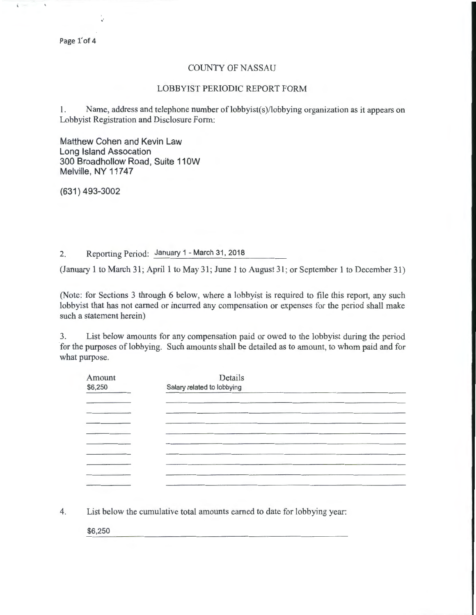## COUNTY OF NASSAU

## LOBBYIST PERIODIC REPORT FORM

1. Name, address and telephone number of lobbyist(s)/lobbying organization as it appears on Lobbyist Registration and Disclosure Form:

Matthew Cohen and Kevin Law Long Island Assocation 300 Broadhollow Road, Suite 110W Melville, NY 11747

(631) 493-3002

2. Reporting Period: January 1 - March 31, 2018

(January 1 to March 31; April 1 to May 31; June 1 to August 31 ; or September 1 to December 31)

(Note: for Sections 3 through 6 below, where a lobbyist is required to file this report, any such lobbyist that has not earned or incurred any compensation or expenses for the period shall make such a statement herein)

3. List below amounts for any compensation paid or owed to the lobbyist during the period for the purposes of lobbying. Such amounts shall be detailed as to amount, to whom paid and for what purpose.

| Amount<br>\$6,250 | Details<br>Salary related to lobbying |  |  |  |  |
|-------------------|---------------------------------------|--|--|--|--|
|                   |                                       |  |  |  |  |
|                   |                                       |  |  |  |  |
|                   |                                       |  |  |  |  |
|                   |                                       |  |  |  |  |
|                   |                                       |  |  |  |  |
|                   |                                       |  |  |  |  |
|                   |                                       |  |  |  |  |
|                   |                                       |  |  |  |  |

4. List below the cumulative total amounts earned to date for lobbying year:

\$6,250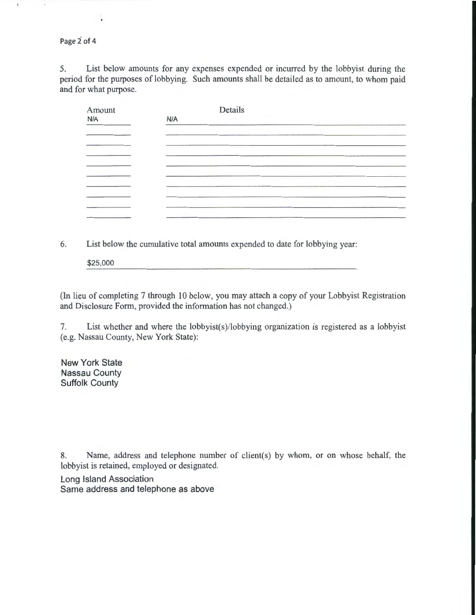Page 2 of 4

5. List below amounts for any expenses expended or incurred by the lobbyist during the period for the purposes of lobbying. Such amounts shall be detailed as to amount, to whom paid and for what purpose.

| Amount |     | Details |  |
|--------|-----|---------|--|
| N/A    | N/A |         |  |
|        |     |         |  |
|        |     |         |  |
|        |     |         |  |
|        |     |         |  |
|        |     |         |  |
|        |     |         |  |
|        |     |         |  |
|        |     |         |  |
|        |     |         |  |

6. List below the cumulative total amounts expended to date for lobbying year:

\$25,000

(In lieu of completing 7 through 10 below, you may attach a copy of your Lobbyist Registration and Disclosure Form, provided the information has not changed.)

7. List whether and where the lobbyist(s)/lobbying organization is registered as a lobbyist (e.g. Nassau County, New York State):

New York State Nassau County Suffolk County

8. Name, address and telephone number of client(s) by whom, or on whose behalf, the lobbyist is retained, employed or designated.

Long Island Association Same address and telephone as above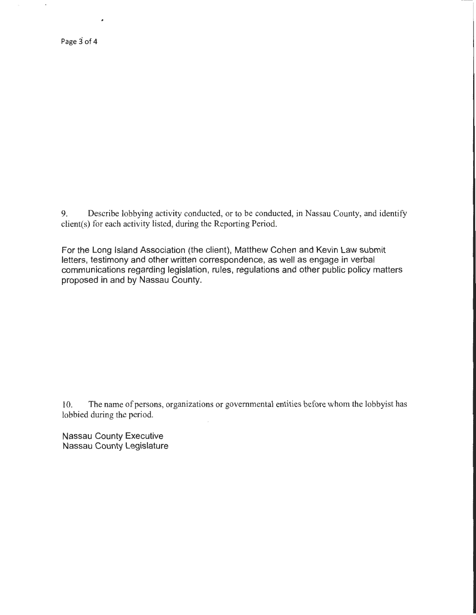9. Describe lobbying activity conducted, or to be conducted, in Nassau County, and identify client(s) for each activity listed, during the Reporting Period.

For the Long Island Association (the client), Matthew Cohen and Kevin Law submit letters, testimony and other written correspondence, as well as engage in verbal communications regarding legislation, rules, regulations and other public policy matters proposed in and by Nassau County.

10. The name of persons, organizations or governmental entities before whom the lobbyist has lobbied during the period.

Nassau County Executive Nassau County Legislature

 $\overline{a}$